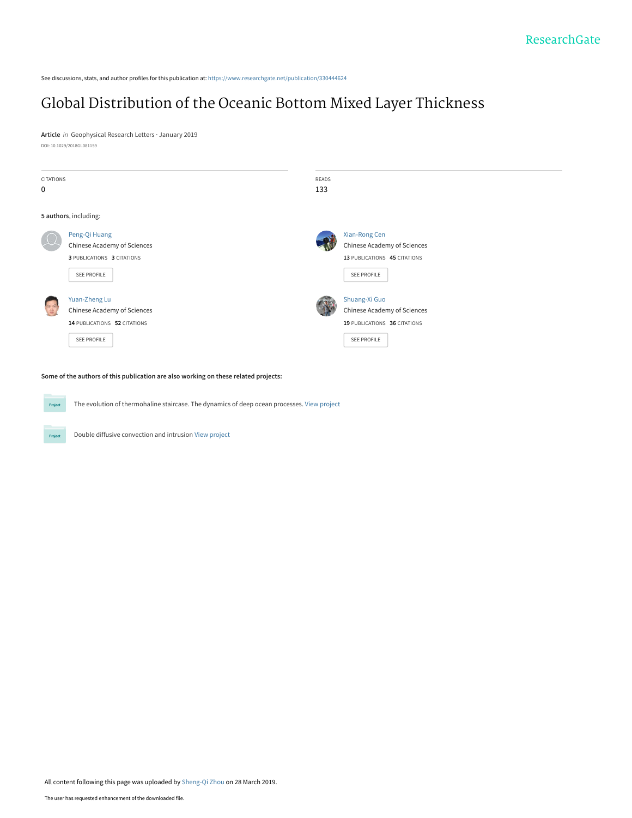See discussions, stats, and author profiles for this publication at: [https://www.researchgate.net/publication/330444624](https://www.researchgate.net/publication/330444624_Global_Distribution_of_the_Oceanic_Bottom_Mixed_Layer_Thickness?enrichId=rgreq-a8ffdc4d653c1da61bf4ff2a6b3f83da-XXX&enrichSource=Y292ZXJQYWdlOzMzMDQ0NDYyNDtBUzo3NDEyMzc2NjEzODg4MDFAMTU1MzczNjIzODA1MA%3D%3D&el=1_x_2&_esc=publicationCoverPdf)

# [Global Distribution of the Oceanic Bottom Mixed Layer Thickness](https://www.researchgate.net/publication/330444624_Global_Distribution_of_the_Oceanic_Bottom_Mixed_Layer_Thickness?enrichId=rgreq-a8ffdc4d653c1da61bf4ff2a6b3f83da-XXX&enrichSource=Y292ZXJQYWdlOzMzMDQ0NDYyNDtBUzo3NDEyMzc2NjEzODg4MDFAMTU1MzczNjIzODA1MA%3D%3D&el=1_x_3&_esc=publicationCoverPdf)

**Article** in Geophysical Research Letters · January 2019 DOI: 10.1029/2018GL081159

| CITATIONS<br>0                              |                                                                                             | READS<br>133 |                                                                                                    |
|---------------------------------------------|---------------------------------------------------------------------------------------------|--------------|----------------------------------------------------------------------------------------------------|
|                                             | 5 authors, including:                                                                       |              |                                                                                                    |
| $\mu$                                       | Peng-Qi Huang<br>Chinese Academy of Sciences<br>3 PUBLICATIONS 3 CITATIONS<br>SEE PROFILE   |              | Xian-Rong Cen<br>Chinese Academy of Sciences<br>13 PUBLICATIONS 45 CITATIONS<br><b>SEE PROFILE</b> |
| $\begin{pmatrix} 0 \\ 0 \\ 0 \end{pmatrix}$ | Yuan-Zheng Lu<br>Chinese Academy of Sciences<br>14 PUBLICATIONS 52 CITATIONS<br>SEE PROFILE |              | Shuang-Xi Guo<br>Chinese Academy of Sciences<br>19 PUBLICATIONS 36 CITATIONS<br>SEE PROFILE        |

**Some of the authors of this publication are also working on these related projects:**

The evolution of thermohaline staircase. The dynamics of deep ocean processes. [View project](https://www.researchgate.net/project/The-evolution-of-thermohaline-staircase-The-dynamics-of-deep-ocean-processes?enrichId=rgreq-a8ffdc4d653c1da61bf4ff2a6b3f83da-XXX&enrichSource=Y292ZXJQYWdlOzMzMDQ0NDYyNDtBUzo3NDEyMzc2NjEzODg4MDFAMTU1MzczNjIzODA1MA%3D%3D&el=1_x_9&_esc=publicationCoverPdf) Project

Double diffusive convection and intrusion [View project](https://www.researchgate.net/project/Double-diffusive-convection-and-intrusion?enrichId=rgreq-a8ffdc4d653c1da61bf4ff2a6b3f83da-XXX&enrichSource=Y292ZXJQYWdlOzMzMDQ0NDYyNDtBUzo3NDEyMzc2NjEzODg4MDFAMTU1MzczNjIzODA1MA%3D%3D&el=1_x_9&_esc=publicationCoverPdf) Project

All content following this page was uploaded by [Sheng-Qi Zhou](https://www.researchgate.net/profile/Sheng-Qi_Zhou?enrichId=rgreq-a8ffdc4d653c1da61bf4ff2a6b3f83da-XXX&enrichSource=Y292ZXJQYWdlOzMzMDQ0NDYyNDtBUzo3NDEyMzc2NjEzODg4MDFAMTU1MzczNjIzODA1MA%3D%3D&el=1_x_10&_esc=publicationCoverPdf) on 28 March 2019.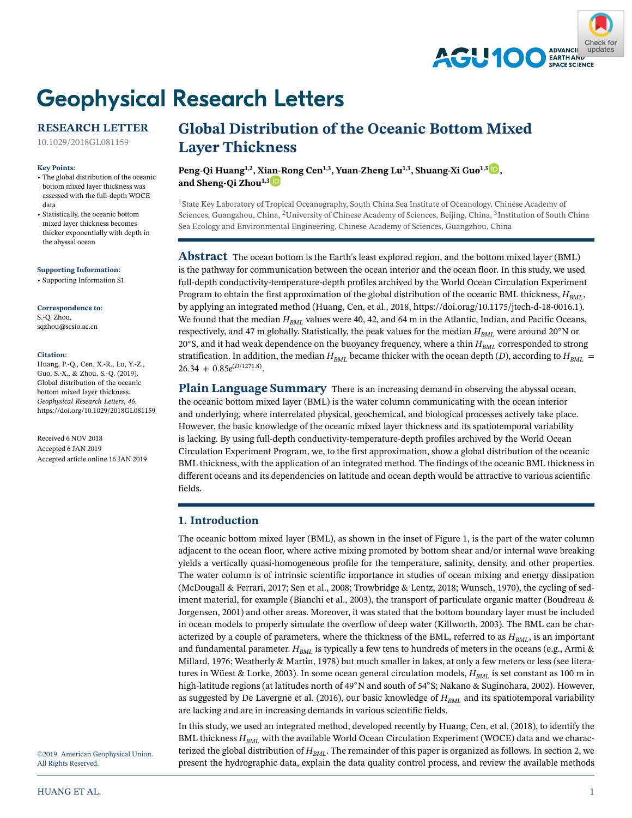

# **Geophysical Research Letters**

# **RESEARCH LETTER**

[10.1029/2018GL081159](http://dx.doi.org/10.1029/2018GL081159)

#### **Key Points:**

• The global distribution of the oceanic bottom mixed layer thickness was assessed with the full-depth WOCE data

• Statistically, the oceanic bottom mixed layer thickness becomes thicker exponentially with depth in the abyssal ocean

**Supporting Information:**

[• Supporting Information S1](http://dx.doi.org/10.1029/2018GL081159)

**Correspondence to:** S.-Q. Zhou, sqzhou@scsio.ac.cn

#### **Citation:**

Huang, P.-Q., Cen, X.-R., Lu, Y.-Z., Guo, S.-X., & Zhou, S.-Q. (2019). Global distribution of the oceanic bottom mixed layer thickness. *Geophysical Research Letters*, *46*. <https://doi.org/10.1029/2018GL081159>

Received 6 NOV 2018 Accepted 6 JAN 2019 Accepted article online 16 JAN 2019

# **Global Distribution of the Oceanic Bottom Mixed Layer Thickness**

**Peng-Qi Huang1,2, Xi[an-R](https://orcid.org/0000-0001-8647-7034)ong Cen1,3, Yuan-Zheng Lu1,3, Shuang-Xi Guo1,3 [,](https://orcid.org/0000-0002-8524-800X)** and Sheng-Qi Zhou<sup>1,3</sup>

<sup>1</sup> State Key Laboratory of Tropical Oceanography, South China Sea Institute of Oceanology, Chinese Academy of Sciences, Guangzhou, China, 2University of Chinese Academy of Sciences, Beijing, China, 3Institution of South China Sea Ecology and Environmental Engineering, Chinese Academy of Sciences, Guangzhou, China

**Abstract** The ocean bottom is the Earth's least explored region, and the bottom mixed layer (BML) is the pathway for communication between the ocean interior and the ocean floor. In this study, we used full-depth conductivity-temperature-depth profiles archived by the World Ocean Circulation Experiment Program to obtain the first approximation of the global distribution of the oceanic BML thickness,  $H_{BMI}$ , by applying an integrated method (Huang, Cen, et al., 2018, [https://doi.orag/10.1175/jtech-d-18-0016.1\)](https://doi.orag/10.1175/jtech-d-18-0016.1). We found that the median  $H_{BM}$  values were 40, 42, and 64 m in the Atlantic, Indian, and Pacific Oceans, respectively, and 47 m globally. Statistically, the peak values for the median  $H_{BML}$  were around 20°N or 20°S, and it had weak dependence on the buoyancy frequency, where a thin  $H_{BML}$  corresponded to strong stratification. In addition, the median  $H_{BML}$  became thicker with the ocean depth (*D*), according to  $H_{BML}$  = 26*.*34 + 0*.*85*e*(*<sup>D</sup>*/1271.8).

Plain Language Summary There is an increasing demand in observing the abyssal ocean, the oceanic bottom mixed layer (BML) is the water column communicating with the ocean interior and underlying, where interrelated physical, geochemical, and biological processes actively take place. However, the basic knowledge of the oceanic mixed layer thickness and its spatiotemporal variability is lacking. By using full-depth conductivity-temperature-depth profiles archived by the World Ocean Circulation Experiment Program, we, to the first approximation, show a global distribution of the oceanic BML thickness, with the application of an integrated method. The findings of the oceanic BML thickness in different oceans and its dependencies on latitude and ocean depth would be attractive to various scientific fields.

# **1. Introduction**

The oceanic bottom mixed layer (BML), as shown in the inset of Figure 1, is the part of the water column adjacent to the ocean floor, where active mixing promoted by bottom shear and/or internal wave breaking yields a vertically quasi-homogeneous profile for the temperature, salinity, density, and other properties. The water column is of intrinsic scientific importance in studies of ocean mixing and energy dissipation (McDougall & Ferrari, 2017; Sen et al., 2008; Trowbridge & Lentz, 2018; Wunsch, 1970), the cycling of sediment material, for example (Bianchi et al., 2003), the transport of particulate organic matter (Boudreau & Jorgensen, 2001) and other areas. Moreover, it was stated that the bottom boundary layer must be included in ocean models to properly simulate the overflow of deep water (Killworth, 2003). The BML can be characterized by a couple of parameters, where the thickness of the BML, referred to as  $H_{BML}$ , is an important and fundamental parameter.  $H_{BML}$  is typically a few tens to hundreds of meters in the oceans (e.g., Armi & Millard, 1976; Weatherly & Martin, 1978) but much smaller in lakes, at only a few meters or less (see literatures in Wüest & Lorke, 2003). In some ocean general circulation models,  $H_{BML}$  is set constant as 100 m in high-latitude regions (at latitudes north of 49◦N and south of 54◦S; Nakano & Suginohara, 2002). However, as suggested by De Lavergne et al. (2016), our basic knowledge of  $H_{BML}$  and its spatiotemporal variability are lacking and are in increasing demands in various scientific fields.

In this study, we used an integrated method, developed recently by Huang, Cen, et al. (2018), to identify the BML thickness  $H_{BML}$  with the available World Ocean Circulation Experiment (WOCE) data and we characterized the global distribution of  $H_{BML}$ . The remainder of this paper is organized as follows. In section 2, we present the hydrographic data, explain the data quality control process, and review the available methods

©2019. American Geophysical Union. All Rights Reserved.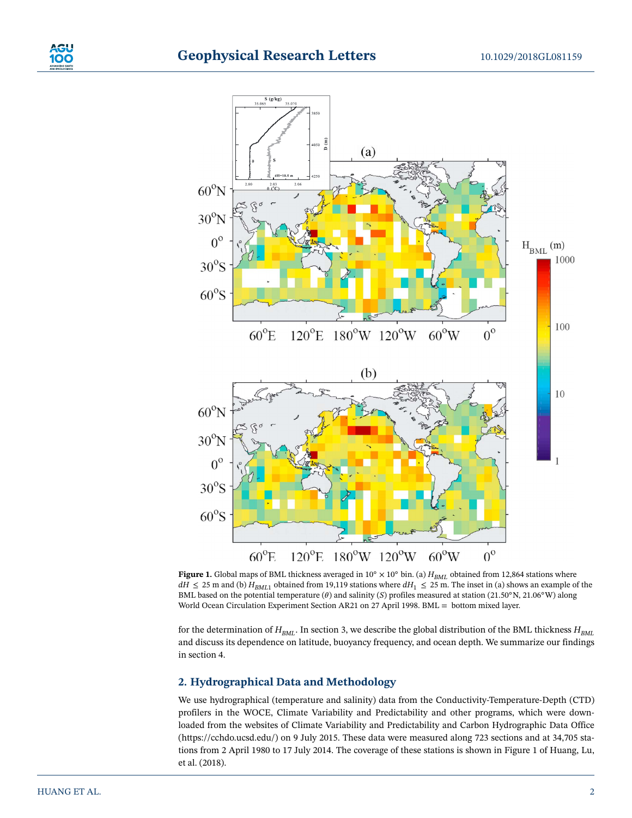

**Figure 1.** Global maps of BML thickness averaged in 10° × 10° bin. (a) *H<sub>BML</sub>* obtained from 12,864 stations where  $dH \leq 25$  m and (b)  $H_{BML1}$  obtained from 19,119 stations where  $dH_1 \leq 25$  m. The inset in (a) shows an example of the BML based on the potential temperature ( $\theta$ ) and salinity (*S*) profiles measured at station (21.50°N, 21.06°W) along World Ocean Circulation Experiment Section AR21 on 27 April 1998. BML = bottom mixed layer.

for the determination of  $H_{BML}$ . In section 3, we describe the global distribution of the BML thickness  $H_{BML}$ and discuss its dependence on latitude, buoyancy frequency, and ocean depth. We summarize our findings in section 4.

# **2. Hydrographical Data and Methodology**

We use hydrographical (temperature and salinity) data from the Conductivity-Temperature-Depth (CTD) profilers in the WOCE, Climate Variability and Predictability and other programs, which were downloaded from the websites of Climate Variability and Predictability and Carbon Hydrographic Data Office [\(https://cchdo.ucsd.edu/\)](https://cchdo.ucsd.edu/) on 9 July 2015. These data were measured along 723 sections and at 34,705 stations from 2 April 1980 to 17 July 2014. The coverage of these stations is shown in Figure 1 of Huang, Lu, et al. (2018).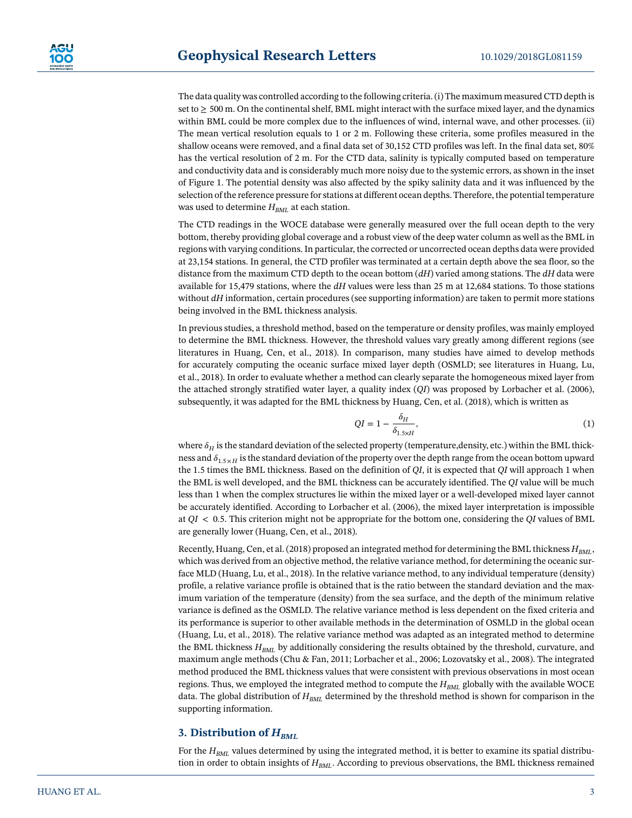The data quality was controlled according to the following criteria. (i) The maximum measured CTD depth is set to  $\geq$  500 m. On the continental shelf, BML might interact with the surface mixed layer, and the dynamics within BML could be more complex due to the influences of wind, internal wave, and other processes. (ii) The mean vertical resolution equals to 1 or 2 m. Following these criteria, some profiles measured in the shallow oceans were removed, and a final data set of 30,152 CTD profiles was left. In the final data set, 80% has the vertical resolution of 2 m. For the CTD data, salinity is typically computed based on temperature and conductivity data and is considerably much more noisy due to the systemic errors, as shown in the inset of Figure 1. The potential density was also affected by the spiky salinity data and it was influenced by the selection of the reference pressure for stations at different ocean depths. Therefore, the potential temperature was used to determine  $H_{BML}$  at each station.

The CTD readings in the WOCE database were generally measured over the full ocean depth to the very bottom, thereby providing global coverage and a robust view of the deep water column as well as the BML in regions with varying conditions. In particular, the corrected or uncorrected ocean depths data were provided at 23,154 stations. In general, the CTD profiler was terminated at a certain depth above the sea floor, so the distance from the maximum CTD depth to the ocean bottom (*dH*) varied among stations. The *dH* data were available for 15,479 stations, where the *dH* values were less than 25 m at 12,684 stations. To those stations without *dH* information, certain procedures (see supporting information) are taken to permit more stations being involved in the BML thickness analysis.

In previous studies, a threshold method, based on the temperature or density profiles, was mainly employed to determine the BML thickness. However, the threshold values vary greatly among different regions (see literatures in Huang, Cen, et al., 2018). In comparison, many studies have aimed to develop methods for accurately computing the oceanic surface mixed layer depth (OSMLD; see literatures in Huang, Lu, et al., 2018). In order to evaluate whether a method can clearly separate the homogeneous mixed layer from the attached strongly stratified water layer, a quality index (*QI*) was proposed by Lorbacher et al. (2006), subsequently, it was adapted for the BML thickness by Huang, Cen, et al. (2018), which is written as

$$
QI = 1 - \frac{\delta_H}{\delta_{1.5 \times H}},\tag{1}
$$

where  $\delta_H$  is the standard deviation of the selected property (temperature,density, etc.) within the BML thickness and  $\delta_{1.5 \times H}$  is the standard deviation of the property over the depth range from the ocean bottom upward the 1.5 times the BML thickness. Based on the definition of *QI*, it is expected that *QI* will approach 1 when the BML is well developed, and the BML thickness can be accurately identified. The *QI* value will be much less than 1 when the complex structures lie within the mixed layer or a well-developed mixed layer cannot be accurately identified. According to Lorbacher et al. (2006), the mixed layer interpretation is impossible at *QI <* 0*.*5. This criterion might not be appropriate for the bottom one, considering the *QI* values of BML are generally lower (Huang, Cen, et al., 2018).

Recently, Huang, Cen, et al. (2018) proposed an integrated method for determining the BML thickness  $H_{BML}$ , which was derived from an objective method, the relative variance method, for determining the oceanic surface MLD (Huang, Lu, et al., 2018). In the relative variance method, to any individual temperature (density) profile, a relative variance profile is obtained that is the ratio between the standard deviation and the maximum variation of the temperature (density) from the sea surface, and the depth of the minimum relative variance is defined as the OSMLD. The relative variance method is less dependent on the fixed criteria and its performance is superior to other available methods in the determination of OSMLD in the global ocean (Huang, Lu, et al., 2018). The relative variance method was adapted as an integrated method to determine the BML thickness  $H_{BML}$  by additionally considering the results obtained by the threshold, curvature, and maximum angle methods (Chu & Fan, 2011; Lorbacher et al., 2006; Lozovatsky et al., 2008). The integrated method produced the BML thickness values that were consistent with previous observations in most ocean regions. Thus, we employed the integrated method to compute the  $H_{BML}$  globally with the available WOCE data. The global distribution of  $H_{BML}$  determined by the threshold method is shown for comparison in the supporting information.

# **3. Distribution of**  $H_{BML}$

For the  $H_{BML}$  values determined by using the integrated method, it is better to examine its spatial distribution in order to obtain insights of  $H_{BML}$ . According to previous observations, the BML thickness remained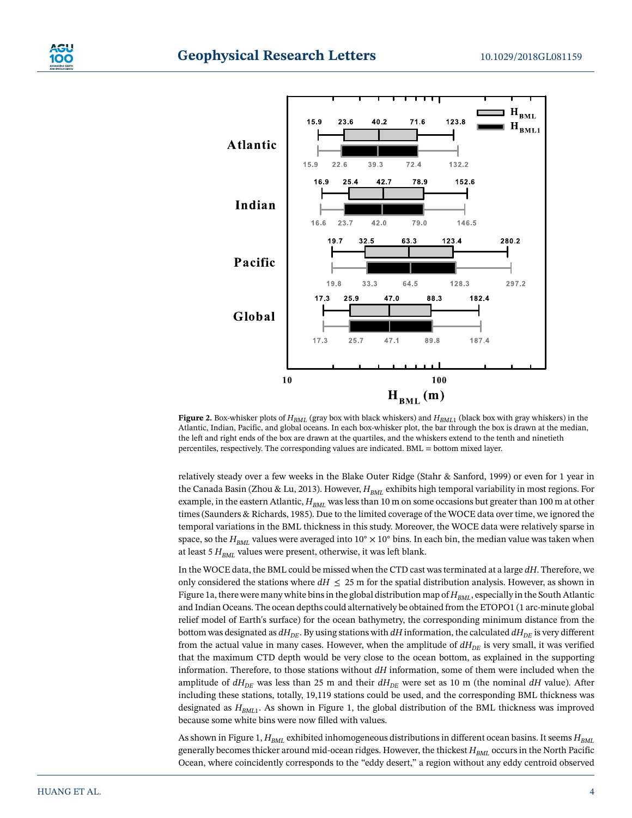



**Figure 2.** Box-whisker plots of *HBML* (gray box with black whiskers) and *HBML*<sup>1</sup> (black box with gray whiskers) in the Atlantic, Indian, Pacific, and global oceans. In each box-whisker plot, the bar through the box is drawn at the median, the left and right ends of the box are drawn at the quartiles, and the whiskers extend to the tenth and ninetieth percentiles, respectively. The corresponding values are indicated. BML = bottom mixed layer.

relatively steady over a few weeks in the Blake Outer Ridge (Stahr & Sanford, 1999) or even for 1 year in the Canada Basin (Zhou & Lu, 2013). However,  $H_{BML}$  exhibits high temporal variability in most regions. For example, in the eastern Atlantic, *H<sub>BML</sub>* was less than 10 m on some occasions but greater than 100 m at other times (Saunders & Richards, 1985). Due to the limited coverage of the WOCE data over time, we ignored the temporal variations in the BML thickness in this study. Moreover, the WOCE data were relatively sparse in space, so the  $H_{BML}$  values were averaged into 10<sup>°</sup> × 10<sup>°</sup> bins. In each bin, the median value was taken when at least 5  $H_{BML}$  values were present, otherwise, it was left blank.

In the WOCE data, the BML could be missed when the CTD cast was terminated at a large *dH*. Therefore, we only considered the stations where  $dH \leq 25$  m for the spatial distribution analysis. However, as shown in Figure 1a, there were many white bins in the global distribution map of  $H_{BML}$ , especially in the South Atlantic and Indian Oceans. The ocean depths could alternatively be obtained from the ETOPO1 (1 arc-minute global relief model of Earth's surface) for the ocean bathymetry, the corresponding minimum distance from the bottom was designated as  $dH_{DE}$ . By using stations with  $dH$  information, the calculated  $dH_{DE}$  is very different from the actual value in many cases. However, when the amplitude of  $dH_{DE}$  is very small, it was verified that the maximum CTD depth would be very close to the ocean bottom, as explained in the supporting information. Therefore, to those stations without *dH* information, some of them were included when the amplitude of  $dH_{DE}$  was less than 25 m and their  $dH_{DE}$  were set as 10 m (the nominal  $dH$  value). After including these stations, totally, 19,119 stations could be used, and the corresponding BML thickness was designated as  $H_{BML1}$ . As shown in Figure 1, the global distribution of the BML thickness was improved because some white bins were now filled with values.

As shown in Figure 1, *H<sub>BML</sub>* exhibited inhomogeneous distributions in different ocean basins. It seems  $H_{BML}$ generally becomes thicker around mid-ocean ridges. However, the thickest *H<sub>BML</sub>* occurs in the North Pacific Ocean, where coincidently corresponds to the "eddy desert," a region without any eddy centroid observed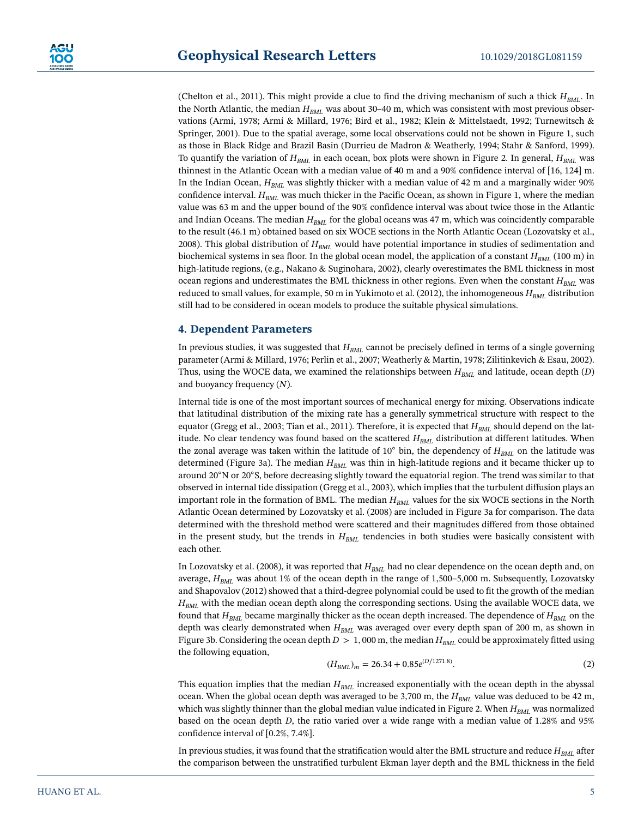(Chelton et al., 2011). This might provide a clue to find the driving mechanism of such a thick  $H_{BML}$ . In the North Atlantic, the median  $H_{BML}$  was about 30-40 m, which was consistent with most previous observations (Armi, 1978; Armi & Millard, 1976; Bird et al., 1982; Klein & Mittelstaedt, 1992; Turnewitsch & Springer, 2001). Due to the spatial average, some local observations could not be shown in Figure 1, such as those in Black Ridge and Brazil Basin (Durrieu de Madron & Weatherly, 1994; Stahr & Sanford, 1999). To quantify the variation of  $H_{BML}$  in each ocean, box plots were shown in Figure 2. In general,  $H_{BML}$  was thinnest in the Atlantic Ocean with a median value of 40 m and a 90% confidence interval of [16, 124] m. In the Indian Ocean,  $H_{BML}$  was slightly thicker with a median value of 42 m and a marginally wider 90% confidence interval. *H<sub>BML</sub>* was much thicker in the Pacific Ocean, as shown in Figure 1, where the median value was 63 m and the upper bound of the 90% confidence interval was about twice those in the Atlantic and Indian Oceans. The median *H<sub>BML</sub>* for the global oceans was 47 m, which was coincidently comparable to the result (46.1 m) obtained based on six WOCE sections in the North Atlantic Ocean (Lozovatsky et al., 2008). This global distribution of *HBML* would have potential importance in studies of sedimentation and biochemical systems in sea floor. In the global ocean model, the application of a constant  $H_{BML}$  (100 m) in high-latitude regions, (e.g., Nakano & Suginohara, 2002), clearly overestimates the BML thickness in most ocean regions and underestimates the BML thickness in other regions. Even when the constant  $H_{BML}$  was reduced to small values, for example, 50 m in Yukimoto et al. (2012), the inhomogeneous  $H_{BML}$  distribution still had to be considered in ocean models to produce the suitable physical simulations.

## **4. Dependent Parameters**

In previous studies, it was suggested that  $H_{BML}$  cannot be precisely defined in terms of a single governing parameter (Armi & Millard, 1976; Perlin et al., 2007; Weatherly & Martin, 1978; Zilitinkevich & Esau, 2002). Thus, using the WOCE data, we examined the relationships between  $H_{BML}$  and latitude, ocean depth (*D*) and buoyancy frequency (*N*).

Internal tide is one of the most important sources of mechanical energy for mixing. Observations indicate that latitudinal distribution of the mixing rate has a generally symmetrical structure with respect to the equator (Gregg et al., 2003; Tian et al., 2011). Therefore, it is expected that  $H_{BML}$  should depend on the latitude. No clear tendency was found based on the scattered  $H_{BML}$  distribution at different latitudes. When the zonal average was taken within the latitude of 10° bin, the dependency of  $H_{BML}$  on the latitude was determined (Figure 3a). The median  $H_{BML}$  was thin in high-latitude regions and it became thicker up to around 20◦N or 20◦S, before decreasing slightly toward the equatorial region. The trend was similar to that observed in internal tide dissipation (Gregg et al., 2003), which implies that the turbulent diffusion plays an important role in the formation of BML. The median  $H_{BML}$  values for the six WOCE sections in the North Atlantic Ocean determined by Lozovatsky et al. (2008) are included in Figure 3a for comparison. The data determined with the threshold method were scattered and their magnitudes differed from those obtained in the present study, but the trends in  $H_{BML}$  tendencies in both studies were basically consistent with each other.

In Lozovatsky et al. (2008), it was reported that  $H_{BML}$  had no clear dependence on the ocean depth and, on average,  $H_{BML}$  was about 1% of the ocean depth in the range of 1,500–5,000 m. Subsequently, Lozovatsky and Shapovalov (2012) showed that a third-degree polynomial could be used to fit the growth of the median  $H<sub>BMI</sub>$  with the median ocean depth along the corresponding sections. Using the available WOCE data, we found that  $H_{BML}$  became marginally thicker as the ocean depth increased. The dependence of  $H_{BML}$  on the depth was clearly demonstrated when  $H_{BML}$  was averaged over every depth span of 200 m, as shown in Figure 3b. Considering the ocean depth  $D > 1$ , 000 m, the median  $H_{BML}$  could be approximately fitted using the following equation,

$$
(H_{BML})_m = 26.34 + 0.85e^{(D/1271.8)}.\t(2)
$$

This equation implies that the median  $H_{BML}$  increased exponentially with the ocean depth in the abyssal ocean. When the global ocean depth was averaged to be 3,700 m, the  $H_{BML}$  value was deduced to be 42 m, which was slightly thinner than the global median value indicated in Figure 2. When  $H_{BML}$  was normalized based on the ocean depth *D*, the ratio varied over a wide range with a median value of 1.28% and 95% confidence interval of [0.2%, 7.4%].

In previous studies, it was found that the stratification would alter the BML structure and reduce  $H_{BML}$  after the comparison between the unstratified turbulent Ekman layer depth and the BML thickness in the field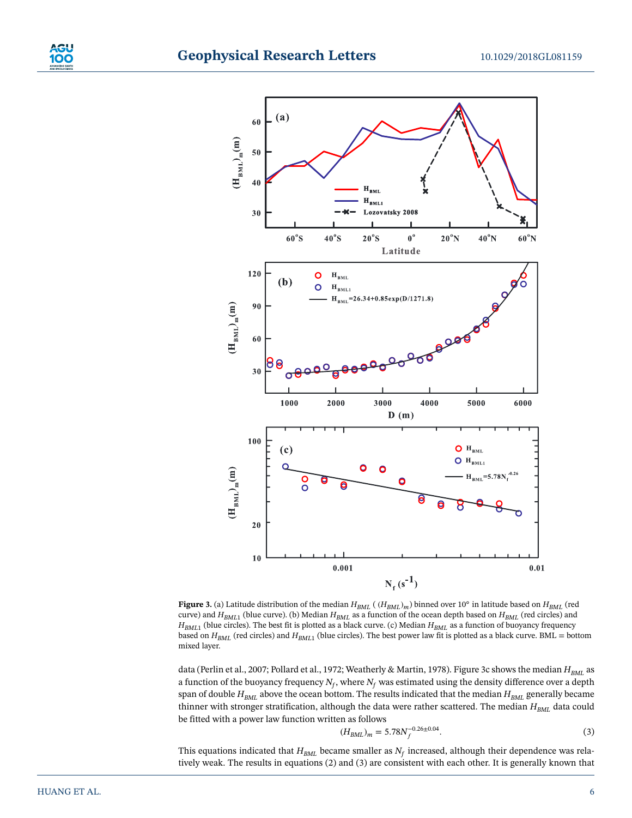



**Figure 3.** (a) Latitude distribution of the median  $H_{BML}$  (  $(H_{BML})_m$ ) binned over 10° in latitude based on  $H_{BML}$  (red curve) and  $H_{BML1}$  (blue curve). (b) Median  $H_{BML}$  as a function of the ocean depth based on  $H_{BML}$  (red circles) and  $H_{BML1}$  (blue circles). The best fit is plotted as a black curve. (c) Median  $H_{BML}$  as a function of buoyancy frequency based on  $H_{BML}$  (red circles) and  $H_{BML1}$  (blue circles). The best power law fit is plotted as a black curve. BML = bottom mixed layer.

data (Perlin et al., 2007; Pollard et al., 1972; Weatherly & Martin, 1978). Figure 3c shows the median  $H_{BML}$  as a function of the buoyancy frequency  $N_f$ , where  $N_f$  was estimated using the density difference over a depth span of double  $H_{BML}$  above the ocean bottom. The results indicated that the median  $H_{BML}$  generally became thinner with stronger stratification, although the data were rather scattered. The median  $H_{BML}$  data could be fitted with a power law function written as follows

$$
(H_{BML})_m = 5.78N_f^{-0.26 \pm 0.04}.
$$

This equations indicated that  $H_{BML}$  became smaller as  $N_f$  increased, although their dependence was relatively weak. The results in equations (2) and (3) are consistent with each other. It is generally known that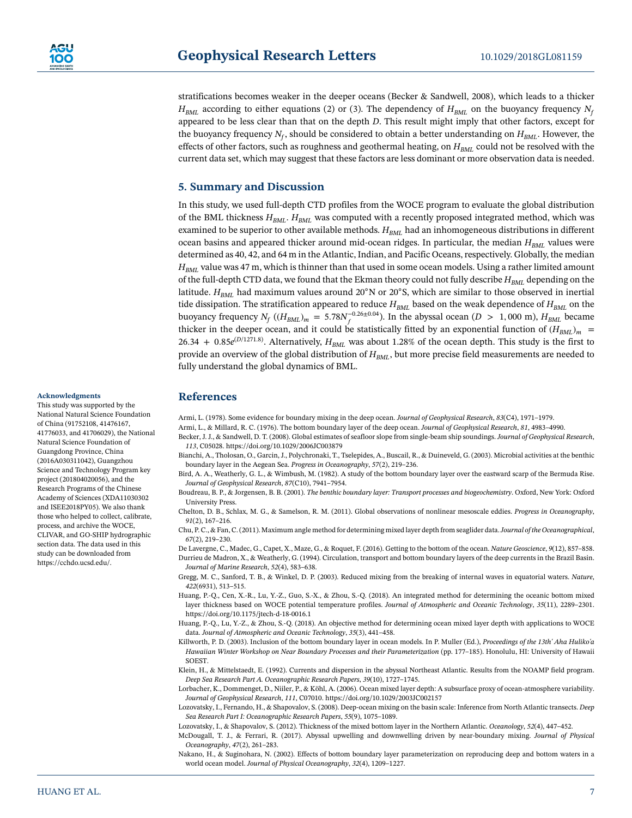

stratifications becomes weaker in the deeper oceans (Becker & Sandwell, 2008), which leads to a thicker  $H_{BML}$  according to either equations (2) or (3). The dependency of  $H_{BML}$  on the buoyancy frequency  $N_f$ appeared to be less clear than that on the depth *D*. This result might imply that other factors, except for the buoyancy frequency  $N_f$ , should be considered to obtain a better understanding on  $H_{BML}$ . However, the effects of other factors, such as roughness and geothermal heating, on  $H_{BML}$  could not be resolved with the current data set, which may suggest that these factors are less dominant or more observation data is needed.

## **5. Summary and Discussion**

In this study, we used full-depth CTD profiles from the WOCE program to evaluate the global distribution of the BML thickness  $H_{BML}$ .  $H_{BML}$  was computed with a recently proposed integrated method, which was examined to be superior to other available methods.  $H_{BML}$  had an inhomogeneous distributions in different ocean basins and appeared thicker around mid-ocean ridges. In particular, the median  $H_{BML}$  values were determined as 40, 42, and 64 m in the Atlantic, Indian, and Pacific Oceans, respectively. Globally, the median *H<sub>BML</sub>* value was 47 m, which is thinner than that used in some ocean models. Using a rather limited amount of the full-depth CTD data, we found that the Ekman theory could not fully describe  $H_{BMI}$  depending on the latitude. *H<sub>BML</sub>* had maximum values around 20<sup>◦</sup>N or 20<sup>◦</sup>S, which are similar to those observed in inertial tide dissipation. The stratification appeared to reduce  $H_{BML}$  based on the weak dependence of  $H_{BML}$  on the buoyancy frequency  $N_f$  ( $(H_{BML})_m = 5.78N_f^{-0.26 \pm 0.04}$ ). In the abyssal ocean ( $D > 1,000$  m),  $H_{BML}$  became thicker in the deeper ocean, and it could be statistically fitted by an exponential function of  $(H_{BML})_m$  =  $26.34 + 0.85e^{(D/1271.8)}$ . Alternatively,  $H_{BML}$  was about 1.28% of the ocean depth. This study is the first to provide an overview of the global distribution of  $H_{BML}$ , but more precise field measurements are needed to fully understand the global dynamics of BML.

#### **References**

Armi, L. (1978). Some evidence for boundary mixing in the deep ocean. *Journal of Geophysical Research*, *83*(C4), 1971–1979.

- Armi, L., & Millard, R. C. (1976). The bottom boundary layer of the deep ocean. *Journal of Geophysical Research*, *81*, 4983–4990.
	- Becker, J. J., & Sandwell, D. T. (2008). Global estimates of seafloor slope from single-beam ship soundings. *Journal of Geophysical Research*, *113*, C05028.<https://doi.org/10.1029/2006JC003879>
		- Bianchi, A., Tholosan, O., Garcin, J., Polychronaki, T., Tselepides, A., Buscail, R., & Duineveld, G. (2003). Microbial activities at the benthic boundary layer in the Aegean Sea. *Progress in Oceanography*, *57*(2), 219–236.
		- Bird, A. A., Weatherly, G. L., & Wimbush, M. (1982). A study of the bottom boundary layer over the eastward scarp of the Bermuda Rise. *Journal of Geophysical Research*, *87*(C10), 7941–7954.
	- Boudreau, B. P., & Jorgensen, B. B. (2001). *The benthic boundary layer: Transport processes and biogeochemistry*. Oxford, New York: Oxford University Press.
	- Chelton, D. B., Schlax, M. G., & Samelson, R. M. (2011). Global observations of nonlinear mesoscale eddies. *Progress in Oceanography*, *91*(2), 167–216.
	- Chu, P. C., & Fan, C. (2011). Maximum angle method for determining mixed layer depth from seaglider data.*Journal of the Oceanographical*, *67*(2), 219–230.

De Lavergne, C., Madec, G., Capet, X., Maze, G., & Roquet, F. (2016). Getting to the bottom of the ocean. *Nature Geoscience*, *9*(12), 857–858. Durrieu de Madron, X., & Weatherly, G. (1994). Circulation, transport and bottom boundary layers of the deep currents in the Brazil Basin. *Journal of Marine Research*, *52*(4), 583–638.

Gregg, M. C., Sanford, T. B., & Winkel, D. P. (2003). Reduced mixing from the breaking of internal waves in equatorial waters. *Nature*, *422*(6931), 513–515.

- Huang, P.-Q., Cen, X.-R., Lu, Y.-Z., Guo, S.-X., & Zhou, S.-Q. (2018). An integrated method for determining the oceanic bottom mixed layer thickness based on WOCE potential temperature profiles. *Journal of Atmospheric and Oceanic Technology*, *35*(11), 2289–2301. <https://doi.org/10.1175/jtech-d-18-0016.1>
- Huang, P.-Q., Lu, Y.-Z., & Zhou, S.-Q. (2018). An objective method for determining ocean mixed layer depth with applications to WOCE data. *Journal of Atmospheric and Oceanic Technology*, *35*(3), 441–458.
- Killworth, P. D. (2003). Inclusion of the bottom boundary layer in ocean models. In P. Muller (Ed.), *Proceedings of the 13th' Aha Huliko'a Hawaiian Winter Workshop on Near Boundary Processes and their Parameterization* (pp. 177–185). Honolulu, HI: University of Hawaii SOEST.
- Klein, H., & Mittelstaedt, E. (1992). Currents and dispersion in the abyssal Northeast Atlantic. Results from the NOAMP field program. *Deep Sea Research Part A. Oceanographic Research Papers*, *39*(10), 1727–1745.
- Lorbacher, K., Dommenget, D., Niiler, P., & Köhl, A. (2006). Ocean mixed layer depth: A subsurface proxy of ocean-atmosphere variability. *Journal of Geophysical Research*, *111*, C07010.<https://doi.org/10.1029/2003JC002157>
- Lozovatsky, I., Fernando, H., & Shapovalov, S. (2008). Deep-ocean mixing on the basin scale: Inference from North Atlantic transects. *Deep Sea Research Part I: Oceanographic Research Papers*, *55*(9), 1075–1089.

Lozovatsky, I., & Shapovalov, S. (2012). Thickness of the mixed bottom layer in the Northern Atlantic. *Oceanology*, *52*(4), 447–452.

- McDougall, T. J., & Ferrari, R. (2017). Abyssal upwelling and downwelling driven by near-boundary mixing. *Journal of Physical Oceanography*, *47*(2), 261–283.
- Nakano, H., & Suginohara, N. (2002). Effects of bottom boundary layer parameterization on reproducing deep and bottom waters in a world ocean model. *Journal of Physical Oceanography*, *32*(4), 1209–1227.

### **Acknowledgments**

This study was supported by the National Natural Science Foundation of China (91752108, 41476167, 41776033, and 41706029), the National Natural Science Foundation of Guangdong Province, China (2016A030311042), Guangzhou Science and Technology Program key project (201804020056), and the Research Programs of the Chinese Academy of Sciences (XDA11030302 and ISEE2018PY05). We also thank those who helped to collect, calibrate, process, and archive the WOCE, CLIVAR, and GO-SHIP hydrographic section data. The data used in this study can be downloaded from [https://cchdo.ucsd.edu/.](https://cchdo.ucsd.edu/)